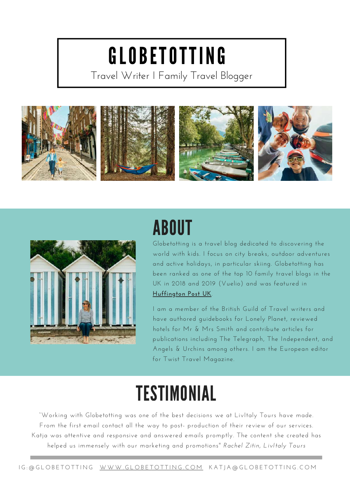# GLOBETOTTING

Travel Writer I Family Travel Blogger





## ABOUT

Globetotting is a travel blog dedicated to discovering the world with kids. I focus on city breaks, outdoor adventures and active holidays, in particular skiing. Globetotting has been ranked as one of the top 10 family travel blogs in the UK in 2018 and 2019 (Vuelio) and was featured in **[Huffington](https://www.huffingtonpost.co.uk/entry/how-your-childrens-perspective-can-make-travelling-even-more-magical_uk_60783816e4b020e576c1c23b) Post UK**.

I am a member of the British Guild of Travel writers and have authored guidebooks for Lonely Planet, reviewed hotels for Mr & Mrs Smith and contribute articles for publications including The Telegraph, The Independent, and Angels & Urchins among others. I am the European editor for Twist Travel Magazine.

### **TESTIMONIAL**

"Working with Globetotting was one of the best decisions we at LivItaly Tours have made. From the first email contact all the way to post- production of their review of our services. Katja was attentive and responsive and answered emails promptly. The content she created has helped us immensely with our marketing and promotions" *Rachel Zitin, LivItaly Tours*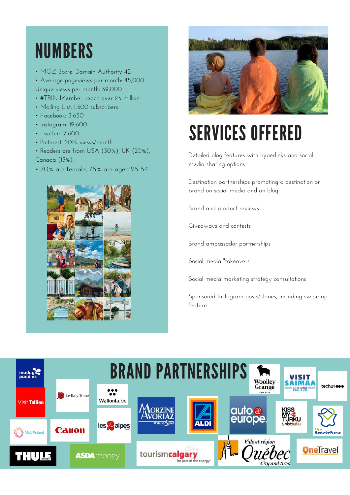## NUMBERS

- MOZ Score: Domain Authority 42
- Average pageviews per month: 45,000. Unique views per month: 39,000
- #TBIN Member: reach over 25 million
- Mailing List: 1,500 subscribers
- Facebook: 3,650
- Instagram: 19,600
- Twitter: 17,600
- Pinterest: 201K views/month
- Readers are from USA (30%), UK (20%), Canada (13%).
- 70% are female, 75% are aged 25-54.





# SERVICES OFFERED

Detailed blog features with hyperlinks and social media sharing options

Destination partnerships promoting a destination or brand on social media and on blog

Brand and product reviews

Giveaways and contests

Brand ambassador partnerships

Social media "takeovers"

Social media marketing strategy consultations

Sponsored Instagram posts/stories, including swipe up feature